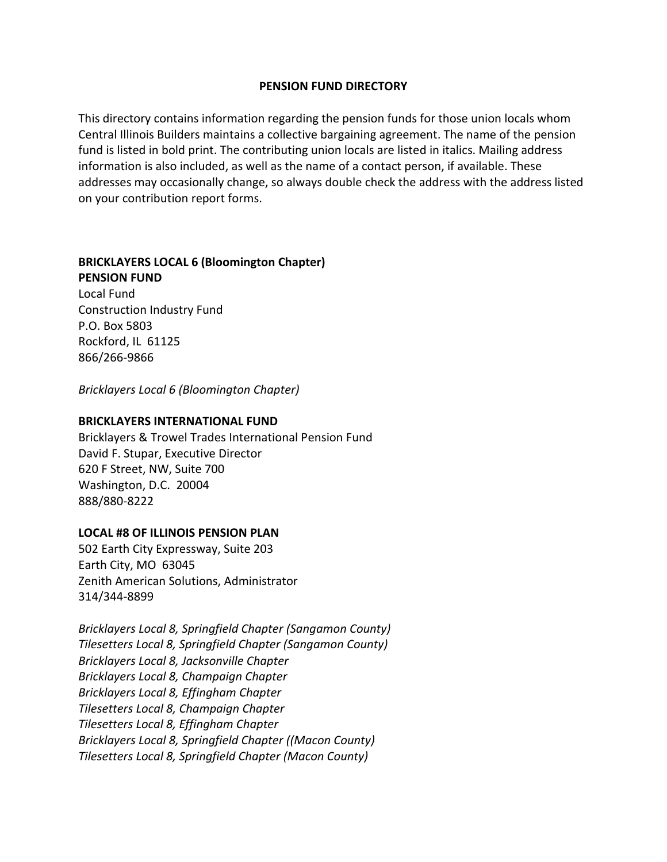# **PENSION FUND DIRECTORY**

This directory contains information regarding the pension funds for those union locals whom Central Illinois Builders maintains a collective bargaining agreement. The name of the pension fund is listed in bold print. The contributing union locals are listed in italics. Mailing address information is also included, as well as the name of a contact person, if available. These addresses may occasionally change, so always double check the address with the address listed on your contribution report forms.

# **BRICKLAYERS LOCAL 6 (Bloomington Chapter) PENSION FUND**

Local Fund Construction Industry Fund P.O. Box 5803 Rockford, IL 61125 866/266-9866

*Bricklayers Local 6 (Bloomington Chapter)*

### **BRICKLAYERS INTERNATIONAL FUND**

Bricklayers & Trowel Trades International Pension Fund David F. Stupar, Executive Director 620 F Street, NW, Suite 700 Washington, D.C. 20004 888/880-8222

#### **LOCAL #8 OF ILLINOIS PENSION PLAN**

502 Earth City Expressway, Suite 203 Earth City, MO 63045 Zenith American Solutions, Administrator 314/344-8899

*Bricklayers Local 8, Springfield Chapter (Sangamon County) Tilesetters Local 8, Springfield Chapter (Sangamon County) Bricklayers Local 8, Jacksonville Chapter Bricklayers Local 8, Champaign Chapter Bricklayers Local 8, Effingham Chapter Tilesetters Local 8, Champaign Chapter Tilesetters Local 8, Effingham Chapter Bricklayers Local 8, Springfield Chapter ((Macon County) Tilesetters Local 8, Springfield Chapter (Macon County)*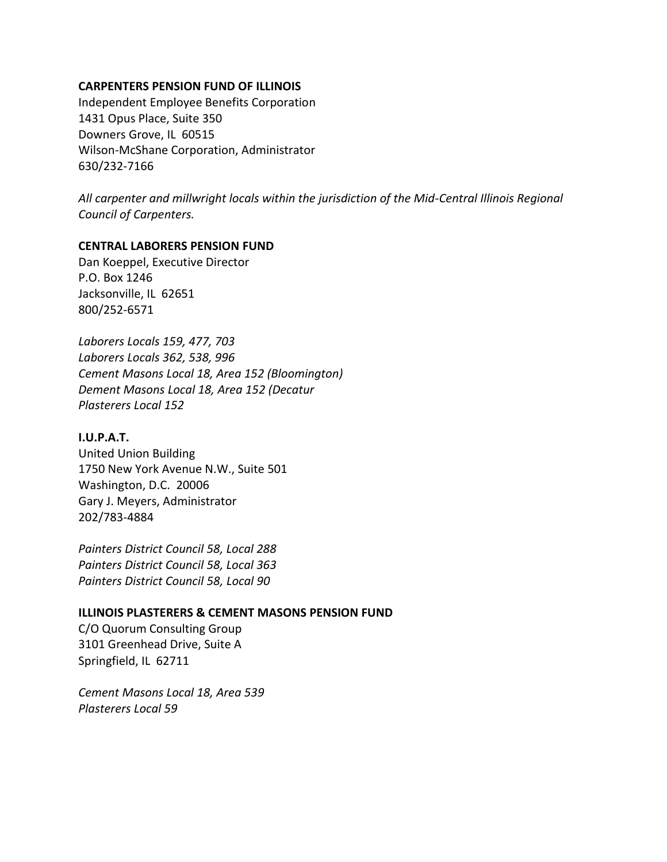#### **CARPENTERS PENSION FUND OF ILLINOIS**

Independent Employee Benefits Corporation 1431 Opus Place, Suite 350 Downers Grove, IL 60515 Wilson-McShane Corporation, Administrator 630/232-7166

*All carpenter and millwright locals within the jurisdiction of the Mid-Central Illinois Regional Council of Carpenters.*

### **CENTRAL LABORERS PENSION FUND**

Dan Koeppel, Executive Director P.O. Box 1246 Jacksonville, IL 62651 800/252-6571

*Laborers Locals 159, 477, 703 Laborers Locals 362, 538, 996 Cement Masons Local 18, Area 152 (Bloomington) Dement Masons Local 18, Area 152 (Decatur Plasterers Local 152*

### **I.U.P.A.T.**

United Union Building 1750 New York Avenue N.W., Suite 501 Washington, D.C. 20006 Gary J. Meyers, Administrator 202/783-4884

*Painters District Council 58, Local 288 Painters District Council 58, Local 363 Painters District Council 58, Local 90*

#### **ILLINOIS PLASTERERS & CEMENT MASONS PENSION FUND**

C/O Quorum Consulting Group 3101 Greenhead Drive, Suite A Springfield, IL 62711

*Cement Masons Local 18, Area 539 Plasterers Local 59*